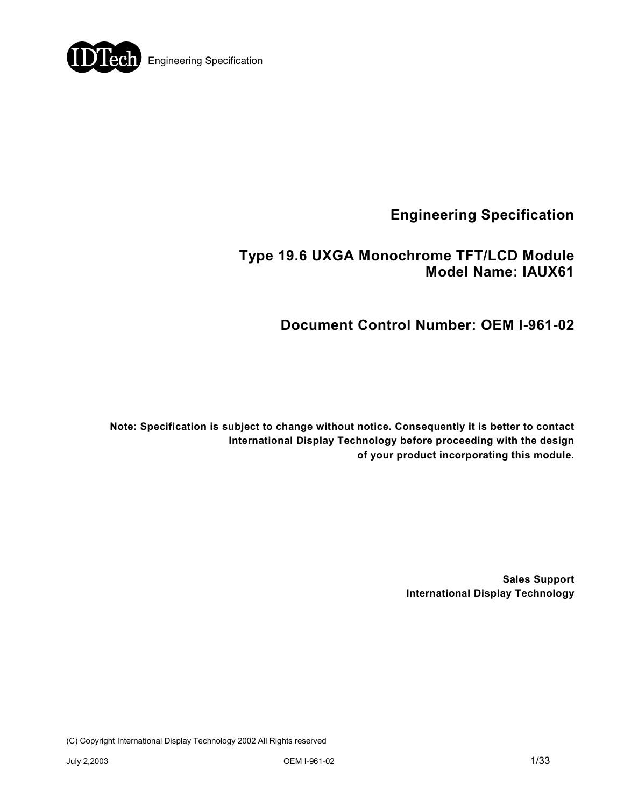

**Engineering Specification** 

# **Type 19.6 UXGA Monochrome TFT/LCD Module Model Name: IAUX61**

# **Document Control Number: OEM I-961-02**

**Note: Specification is subject to change without notice. Consequently it is better to contact International Display Technology before proceeding with the design of your product incorporating this module.** 

> **Sales Support International Display Technology**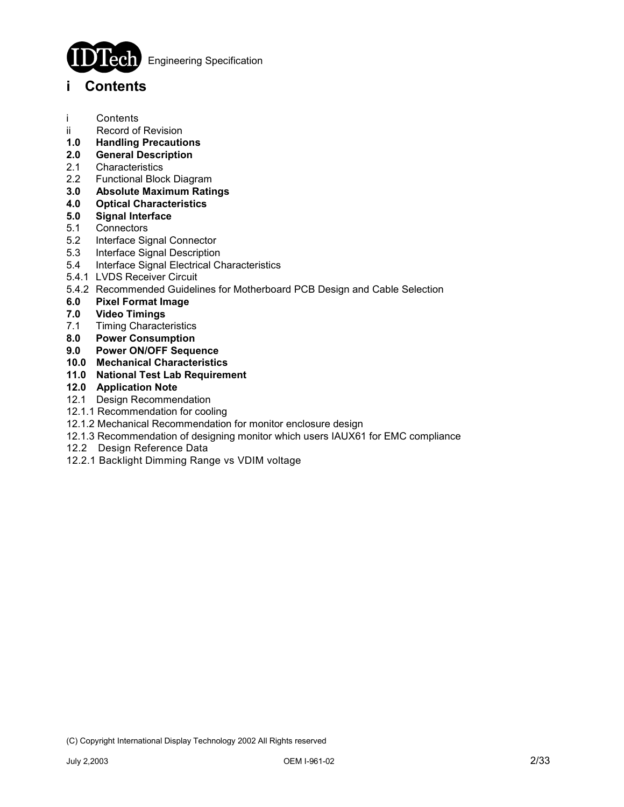

Engineering Specification

# **i Contents**

- i Contents
- ii Record of Revision
- **1.0 Handling Precautions**
- **2.0 General Description**
- 2.1 Characteristics
- 2.2 Functional Block Diagram
- **3.0 Absolute Maximum Ratings**
- **4.0 Optical Characteristics**
- **5.0 Signal Interface**
- 5.1 Connectors
- 5.2 Interface Signal Connector
- 5.3 Interface Signal Description
- 5.4 Interface Signal Electrical Characteristics
- 5.4.1 LVDS Receiver Circuit
- 5.4.2 Recommended Guidelines for Motherboard PCB Design and Cable Selection
- **6.0 Pixel Format Image**
- **7.0 Video Timings**
- 7.1 Timing Characteristics
- **8.0 Power Consumption**
- **9.0 Power ON/OFF Sequence**
- **10.0 Mechanical Characteristics**
- **11.0 National Test Lab Requirement**

### **12.0 Application Note**

- 12.1 Design Recommendation
- 12.1.1 Recommendation for cooling
- 12.1.2 Mechanical Recommendation for monitor enclosure design
- 12.1.3 Recommendation of designing monitor which users IAUX61 for EMC compliance
- 12.2 Design Reference Data
- 12.2.1 Backlight Dimming Range vs VDIM voltage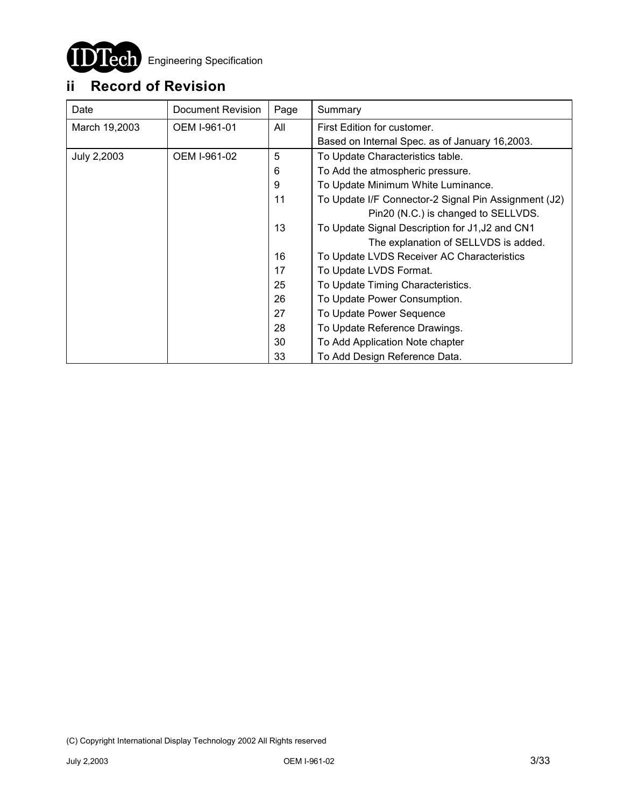

# **ii Record of Revision**

| Date          | Document Revision | Page | Summary                                              |
|---------------|-------------------|------|------------------------------------------------------|
| March 19,2003 | OEM I-961-01      | All  | First Edition for customer.                          |
|               |                   |      | Based on Internal Spec. as of January 16,2003.       |
| July 2,2003   | OEM I-961-02      | 5    | To Update Characteristics table.                     |
|               |                   | 6    | To Add the atmospheric pressure.                     |
|               |                   | 9    | To Update Minimum White Luminance.                   |
|               |                   | 11   | To Update I/F Connector-2 Signal Pin Assignment (J2) |
|               |                   |      | Pin20 (N.C.) is changed to SELLVDS.                  |
|               |                   | 13   | To Update Signal Description for J1, J2 and CN1      |
|               |                   |      | The explanation of SELLVDS is added.                 |
|               |                   | 16   | To Update LVDS Receiver AC Characteristics           |
|               |                   | 17   | To Update LVDS Format.                               |
|               |                   | 25   | To Update Timing Characteristics.                    |
|               |                   | 26   | To Update Power Consumption.                         |
|               |                   | 27   | To Update Power Sequence                             |
|               |                   | 28   | To Update Reference Drawings.                        |
|               |                   | 30   | To Add Application Note chapter                      |
|               |                   | 33   | To Add Design Reference Data.                        |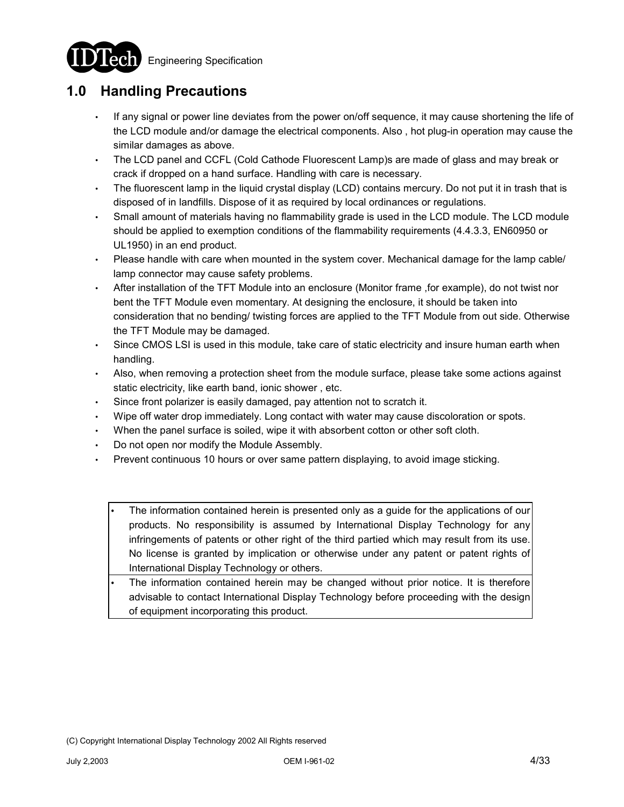**Engineering Specification** 



# **1.0 Handling Precautions**

- If any signal or power line deviates from the power on/off sequence, it may cause shortening the life of the LCD module and/or damage the electrical components. Also , hot plug-in operation may cause the similar damages as above.
- The LCD panel and CCFL (Cold Cathode Fluorescent Lamp)s are made of glass and may break or crack if dropped on a hand surface. Handling with care is necessary.
- The fluorescent lamp in the liquid crystal display (LCD) contains mercury. Do not put it in trash that is disposed of in landfills. Dispose of it as required by local ordinances or regulations.
- Small amount of materials having no flammability grade is used in the LCD module. The LCD module should be applied to exemption conditions of the flammability requirements (4.4.3.3, EN60950 or UL1950) in an end product.
- Please handle with care when mounted in the system cover. Mechanical damage for the lamp cable/ lamp connector may cause safety problems.
- After installation of the TFT Module into an enclosure (Monitor frame ,for example), do not twist nor bent the TFT Module even momentary. At designing the enclosure, it should be taken into consideration that no bending/ twisting forces are applied to the TFT Module from out side. Otherwise the TFT Module may be damaged.
- Since CMOS LSI is used in this module, take care of static electricity and insure human earth when handling.
- Also, when removing a protection sheet from the module surface, please take some actions against static electricity, like earth band, ionic shower , etc.
- Since front polarizer is easily damaged, pay attention not to scratch it.
- Wipe off water drop immediately. Long contact with water may cause discoloration or spots.
- When the panel surface is soiled, wipe it with absorbent cotton or other soft cloth.
- Do not open nor modify the Module Assembly.
- Prevent continuous 10 hours or over same pattern displaying, to avoid image sticking.
	- The information contained herein is presented only as a guide for the applications of our products. No responsibility is assumed by International Display Technology for any infringements of patents or other right of the third partied which may result from its use. No license is granted by implication or otherwise under any patent or patent rights of International Display Technology or others.
	- The information contained herein may be changed without prior notice. It is therefore advisable to contact International Display Technology before proceeding with the design of equipment incorporating this product.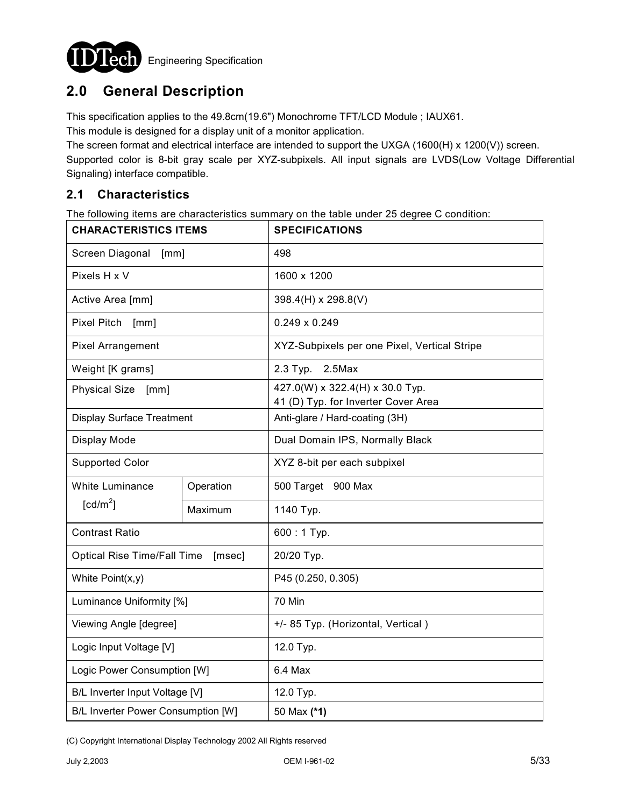

# **2.0 General Description**

This specification applies to the 49.8cm(19.6") Monochrome TFT/LCD Module ; IAUX61.

This module is designed for a display unit of a monitor application.

The screen format and electrical interface are intended to support the UXGA (1600(H) x 1200(V)) screen.

Supported color is 8-bit gray scale per XYZ-subpixels. All input signals are LVDS(Low Voltage Differential Signaling) interface compatible.

## **2.1 Characteristics**

The following items are characteristics summary on the table under 25 degree C condition:

| <b>CHARACTERISTICS ITEMS</b>       |           | <b>SPECIFICATIONS</b>                        |  |  |  |
|------------------------------------|-----------|----------------------------------------------|--|--|--|
| Screen Diagonal<br>[mm]            |           | 498                                          |  |  |  |
| Pixels H x V                       |           | 1600 x 1200                                  |  |  |  |
| Active Area [mm]                   |           | 398.4(H) x 298.8(V)                          |  |  |  |
| <b>Pixel Pitch</b><br>[mm]         |           | $0.249 \times 0.249$                         |  |  |  |
| <b>Pixel Arrangement</b>           |           | XYZ-Subpixels per one Pixel, Vertical Stripe |  |  |  |
| Weight [K grams]                   |           | 2.3 Typ. 2.5 Max                             |  |  |  |
| <b>Physical Size</b><br>[mm]       |           | 427.0(W) x 322.4(H) x 30.0 Typ.              |  |  |  |
|                                    |           | 41 (D) Typ. for Inverter Cover Area          |  |  |  |
| <b>Display Surface Treatment</b>   |           | Anti-glare / Hard-coating (3H)               |  |  |  |
| Display Mode                       |           | Dual Domain IPS, Normally Black              |  |  |  |
| <b>Supported Color</b>             |           | XYZ 8-bit per each subpixel                  |  |  |  |
| White Luminance                    | Operation | 500 Target 900 Max                           |  |  |  |
| $\lceil cd/m^2 \rceil$             | Maximum   | 1140 Тур.                                    |  |  |  |
| <b>Contrast Ratio</b>              |           | $600:1$ Typ.                                 |  |  |  |
| Optical Rise Time/Fall Time        | [msec]    | 20/20 Typ.                                   |  |  |  |
| White Point(x,y)                   |           | P45 (0.250, 0.305)                           |  |  |  |
| Luminance Uniformity [%]           |           | 70 Min                                       |  |  |  |
| Viewing Angle [degree]             |           | +/- 85 Typ. (Horizontal, Vertical)           |  |  |  |
| Logic Input Voltage [V]            |           | 12.0 Typ.                                    |  |  |  |
| Logic Power Consumption [W]        |           | 6.4 Max                                      |  |  |  |
| B/L Inverter Input Voltage [V]     |           | 12.0 Typ.                                    |  |  |  |
| B/L Inverter Power Consumption [W] |           | 50 Max (*1)                                  |  |  |  |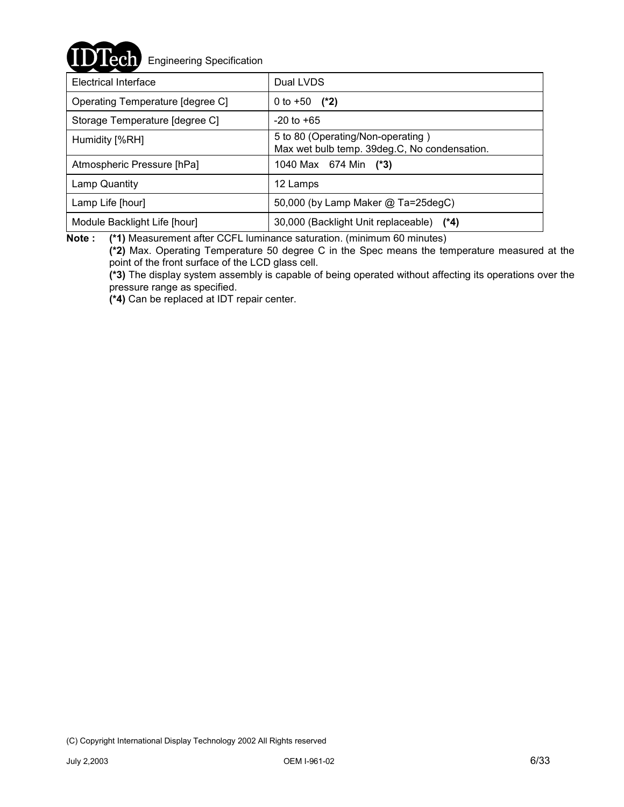**ech** Engineering Specification

| Electrical Interface             | Dual LVDS                                                                         |  |  |
|----------------------------------|-----------------------------------------------------------------------------------|--|--|
| Operating Temperature [degree C] | 0 to +50 $(*2)$                                                                   |  |  |
| Storage Temperature [degree C]   | $-20$ to $+65$                                                                    |  |  |
| Humidity [%RH]                   | 5 to 80 (Operating/Non-operating)<br>Max wet bulb temp. 39deg.C, No condensation. |  |  |
| Atmospheric Pressure [hPa]       | 1040 Max 674 Min (*3)                                                             |  |  |
| Lamp Quantity                    | 12 Lamps                                                                          |  |  |
| Lamp Life [hour]                 | 50,000 (by Lamp Maker @ Ta=25degC)                                                |  |  |
| Module Backlight Life [hour]     | 30,000 (Backlight Unit replaceable) (*4)                                          |  |  |

**Note : (\*1)** Measurement after CCFL luminance saturation. (minimum 60 minutes)

**(\*2)** Max. Operating Temperature 50 degree C in the Spec means the temperature measured at the point of the front surface of the LCD glass cell.

**(\*3)** The display system assembly is capable of being operated without affecting its operations over the pressure range as specified.

**(\*4)** Can be replaced at IDT repair center.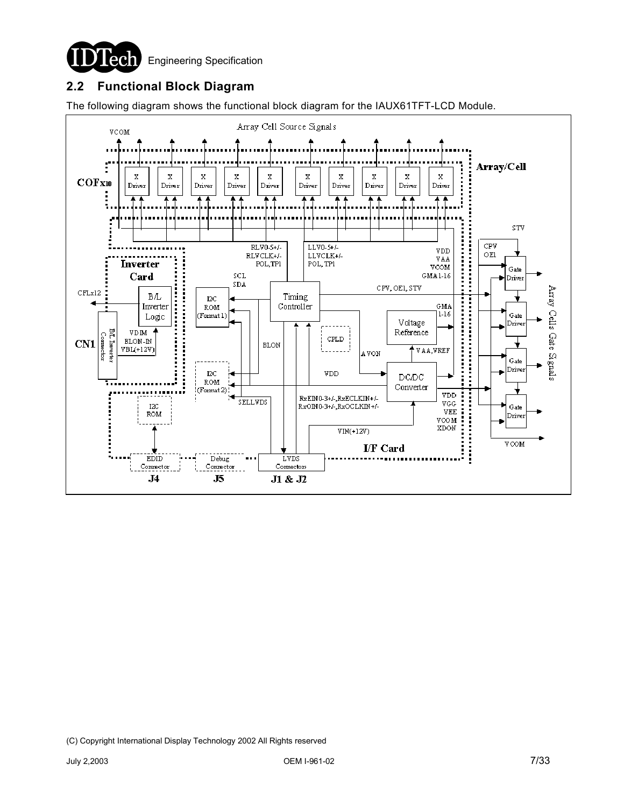

## **2.2 Functional Block Diagram**

The following diagram shows the functional block diagram for the IAUX61TFT-LCD Module.

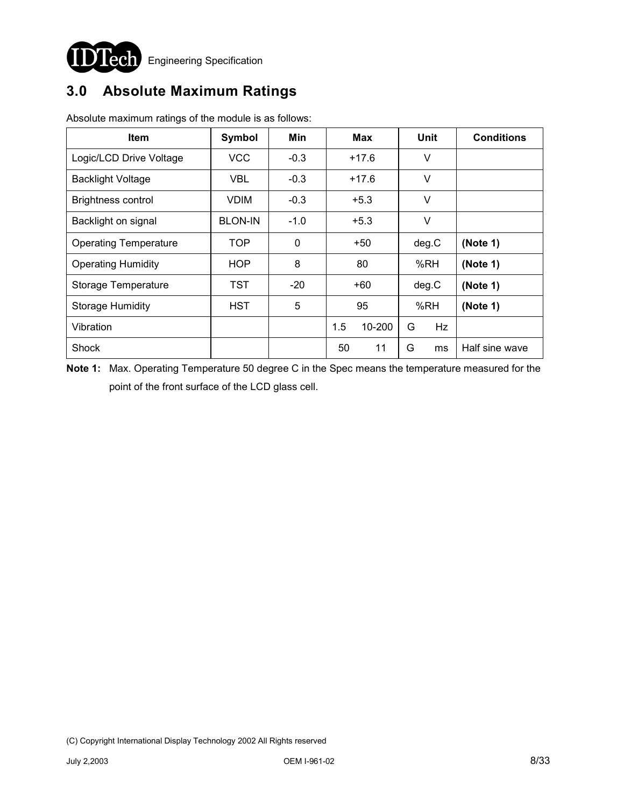

# **3.0 Absolute Maximum Ratings**

| <b>Item</b>                  | <b>Symbol</b>  | Min    | Max           |  | Unit  |           | <b>Conditions</b> |
|------------------------------|----------------|--------|---------------|--|-------|-----------|-------------------|
| Logic/LCD Drive Voltage      | <b>VCC</b>     | $-0.3$ | $+17.6$       |  | V     |           |                   |
| <b>Backlight Voltage</b>     | <b>VBL</b>     | $-0.3$ | $+17.6$       |  | V     |           |                   |
| <b>Brightness control</b>    | <b>VDIM</b>    | $-0.3$ | $+5.3$        |  | V     |           |                   |
| Backlight on signal          | <b>BLON-IN</b> | $-1.0$ | $+5.3$        |  | V     |           |                   |
| <b>Operating Temperature</b> | <b>TOP</b>     | 0      | $+50$         |  | deg.C |           | (Note 1)          |
| <b>Operating Humidity</b>    | HOP            | 8      | 80            |  | %RH   |           | (Note 1)          |
| Storage Temperature          | TST            | $-20$  | +60           |  | deg.C |           | (Note 1)          |
| <b>Storage Humidity</b>      | HST            | 5      | 95            |  |       | %RH       | (Note 1)          |
| Vibration                    |                |        | 1.5<br>10-200 |  | G     | <b>Hz</b> |                   |
| Shock                        |                |        | 11<br>50      |  | G     | ms        | Half sine wave    |

Absolute maximum ratings of the module is as follows:

**Note 1:** Max. Operating Temperature 50 degree C in the Spec means the temperature measured for the point of the front surface of the LCD glass cell.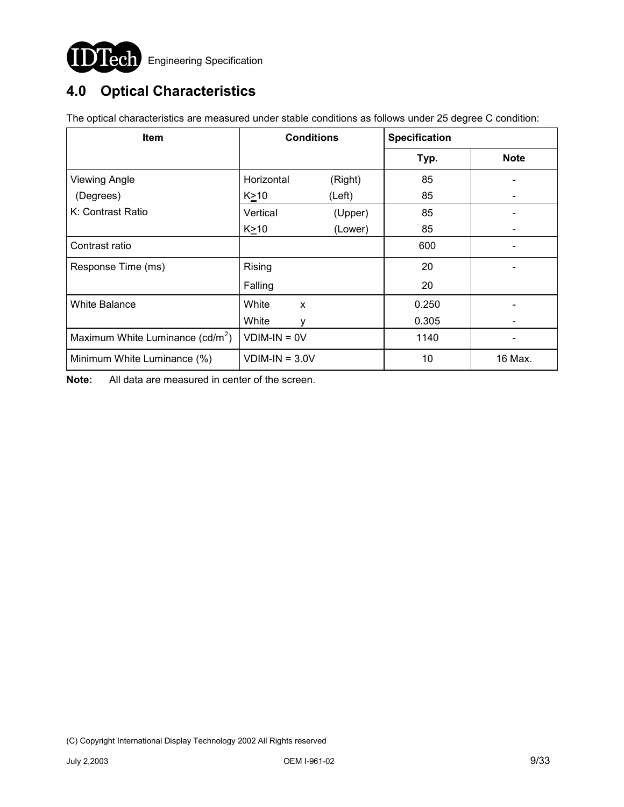

# **4.0 Optical Characteristics**

| Item                               |                  | <b>Conditions</b>         | <b>Specification</b> |             |  |
|------------------------------------|------------------|---------------------------|----------------------|-------------|--|
|                                    |                  |                           | Typ.                 | <b>Note</b> |  |
| <b>Viewing Angle</b>               | Horizontal       | (Right)                   | 85                   |             |  |
| (Degrees)                          | $K \geq 10$      | (Left)                    | 85                   |             |  |
| K: Contrast Ratio                  | Vertical         | (Upper)                   | 85                   |             |  |
|                                    | K≥10             | (Lower)                   | 85                   |             |  |
| Contrast ratio                     |                  |                           | 600                  |             |  |
| Response Time (ms)                 | Rising           |                           | 20                   |             |  |
|                                    | Falling          |                           | 20                   |             |  |
| White Balance                      | White            | $\boldsymbol{\mathsf{x}}$ | 0.250                |             |  |
|                                    | White            | v                         | 0.305                |             |  |
| Maximum White Luminance $(cd/m^2)$ | $VDIM-IN = OV$   |                           | 1140                 |             |  |
| Minimum White Luminance (%)        | $VDIM-IN = 3.0V$ |                           | 10                   | 16 Max.     |  |

The optical characteristics are measured under stable conditions as follows under 25 degree C condition:

**Note:** All data are measured in center of the screen.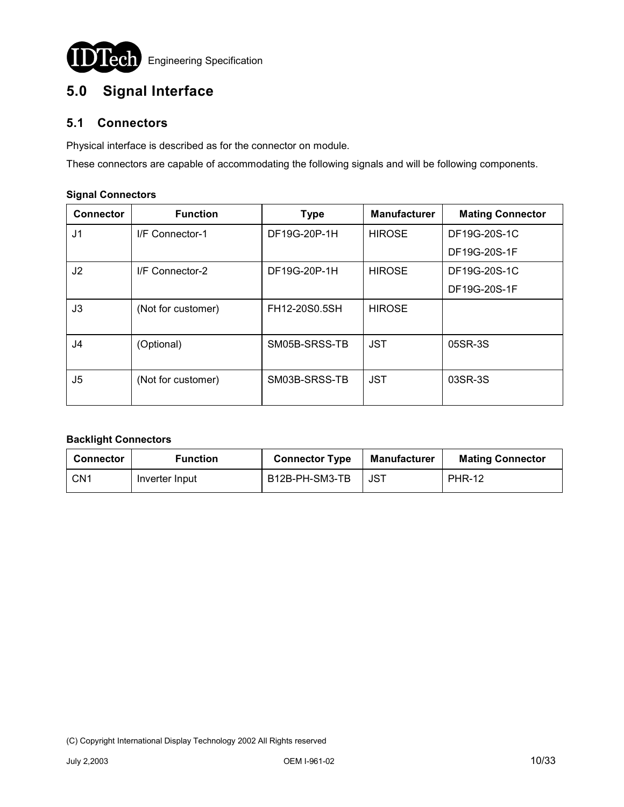

# **5.0 Signal Interface**

## **5.1 Connectors**

Physical interface is described as for the connector on module.

These connectors are capable of accommodating the following signals and will be following components.

# **Connector Function Type Manufacturer Mating Connector** J1 I/F Connector-1 DF19G-20P-1H HIROSE DF19G-20S-1C DF19G-20S-1F J2 I/F Connector-2 DF19G-20P-1H HIROSE DF19G-20S-1C DF19G-20S-1F J3 (Not for customer) | FH12-20S0.5SH | HIROSE J4 (Optional) | SM05B-SRSS-TB JST | 05SR-3S J5 (Not for customer) SM03B-SRSS-TB JST 03SR-3S

#### **Signal Connectors**

### **Backlight Connectors**

| <b>Connector</b> | <b>Function</b> | <b>Connector Type</b> | Manufacturer | <b>Mating Connector</b> |
|------------------|-----------------|-----------------------|--------------|-------------------------|
| CN <sub>1</sub>  | Inverter Input  | B12B-PH-SM3-TB        | JST          | <b>PHR-12</b>           |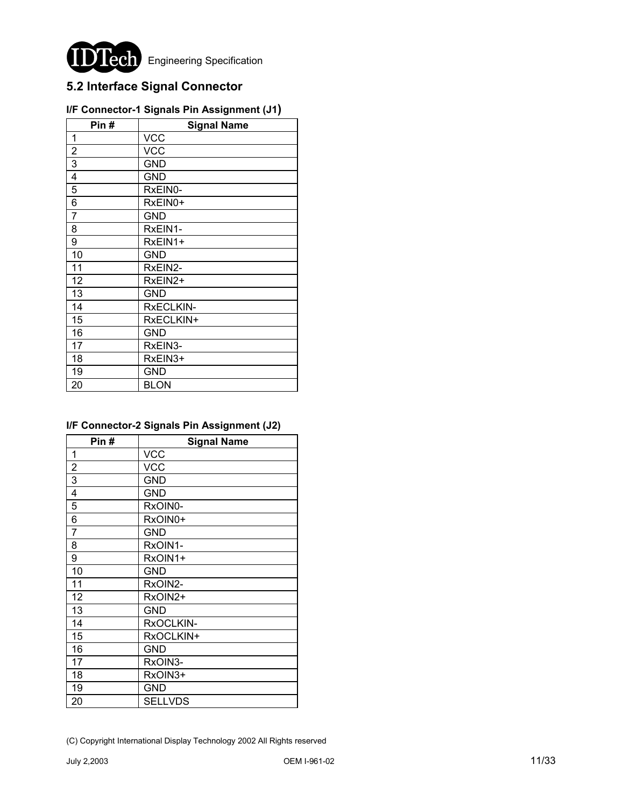

# **5.2 Interface Signal Connector**

| Pin#           | <b>Signal Name</b> |
|----------------|--------------------|
| 1              | <b>VCC</b>         |
| $\overline{2}$ | <b>VCC</b>         |
| 3              | GND                |
| $\overline{4}$ | <b>GND</b>         |
| 5              | RxEIN0-            |
| 6              | RxEIN0+            |
| $\overline{7}$ | <b>GND</b>         |
| 8              | RxEIN1-            |
| 9              | RxEIN1+            |
| 10             | GND                |
| 11             | RxEIN2-            |
| 12             | RxEIN2+            |
| 13             | GND                |
| 14             | RxECLKIN-          |
| 15             | RxECLKIN+          |
| 16             | GND                |
| 17             | RxEIN3-            |
| 18             | RxEIN3+            |
| 19             | <b>GND</b>         |
| 20             | <b>BLON</b>        |

## **I/F Connector-1 Signals Pin Assignment (J1)**

## **I/F Connector-2 Signals Pin Assignment (J2)**

| Pin#                    | <b>Signal Name</b> |
|-------------------------|--------------------|
| $\mathbf{1}$            | <b>VCC</b>         |
| $\overline{2}$          | <b>VCC</b>         |
| $\overline{3}$          | GND                |
| $\overline{\mathbf{4}}$ | GND                |
| 5                       | RxOIN0-            |
| 6                       | RxOIN0+            |
| $\overline{7}$          | GND                |
| 8                       | RxOIN1-            |
| 9                       | RxOIN1+            |
| 10                      | <b>GND</b>         |
| 11                      | RxOIN2-            |
| 12                      | RxOIN2+            |
| 13                      | GND                |
| 14                      | RxOCLKIN-          |
| 15                      | RxOCLKIN+          |
| 16                      | <b>GND</b>         |
| 17                      | RxOIN3-            |
| 18                      | RxOIN3+            |
| 19                      | GND                |
| 20                      | <b>SELLVDS</b>     |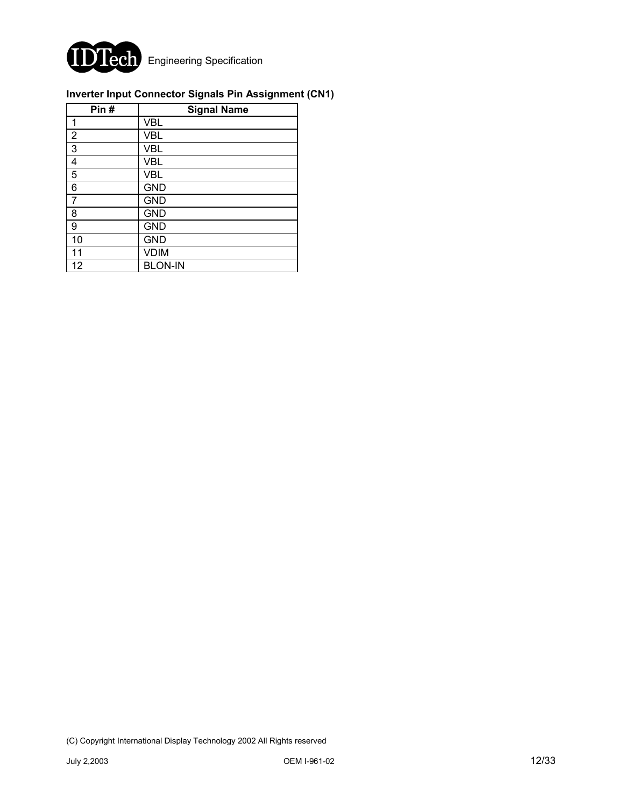

## **Inverter Input Connector Signals Pin Assignment (CN1)**

| Pin#           | <b>Signal Name</b> |
|----------------|--------------------|
| 1              | <b>VBL</b>         |
| $\overline{2}$ | <b>VBL</b>         |
| 3              | <b>VBL</b>         |
| 4              | <b>VBL</b>         |
| 5              | <b>VBL</b>         |
| 6              | <b>GND</b>         |
| 7              | <b>GND</b>         |
| 8              | <b>GND</b>         |
| 9              | <b>GND</b>         |
| 10             | <b>GND</b>         |
| 11             | <b>VDIM</b>        |
| 12             | <b>BLON-IN</b>     |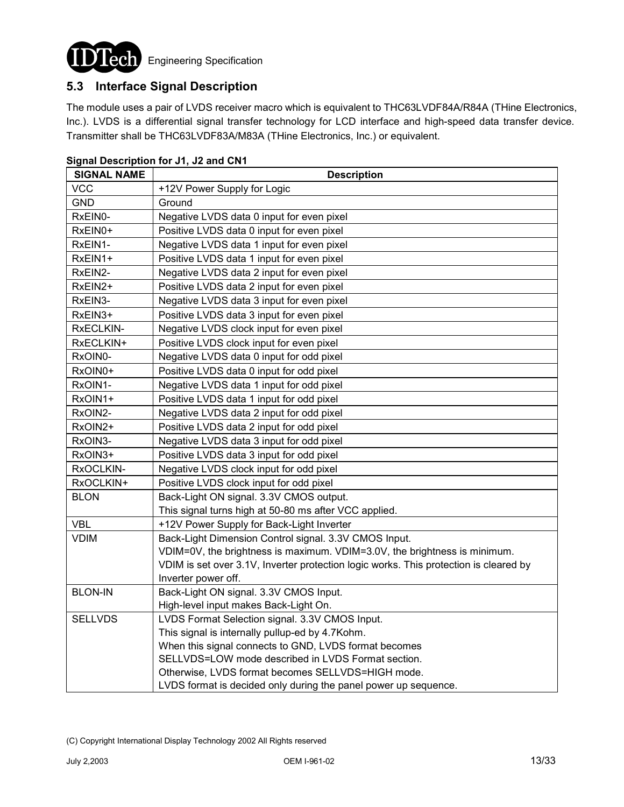

## **5.3 Interface Signal Description**

The module uses a pair of LVDS receiver macro which is equivalent to THC63LVDF84A/R84A (THine Electronics, Inc.). LVDS is a differential signal transfer technology for LCD interface and high-speed data transfer device. Transmitter shall be THC63LVDF83A/M83A (THine Electronics, Inc.) or equivalent.

| <b>SIGNAL NAME</b> | <b>Description</b>                                                                    |
|--------------------|---------------------------------------------------------------------------------------|
| <b>VCC</b>         | +12V Power Supply for Logic                                                           |
| <b>GND</b>         | Ground                                                                                |
| RxEIN0-            | Negative LVDS data 0 input for even pixel                                             |
| RxEIN0+            | Positive LVDS data 0 input for even pixel                                             |
| RxEIN1-            | Negative LVDS data 1 input for even pixel                                             |
| RxEIN1+            | Positive LVDS data 1 input for even pixel                                             |
| RxEIN2-            | Negative LVDS data 2 input for even pixel                                             |
| RxEIN2+            | Positive LVDS data 2 input for even pixel                                             |
| RxEIN3-            | Negative LVDS data 3 input for even pixel                                             |
| RxEIN3+            | Positive LVDS data 3 input for even pixel                                             |
| RxECLKIN-          | Negative LVDS clock input for even pixel                                              |
| RxECLKIN+          | Positive LVDS clock input for even pixel                                              |
| RxOIN0-            | Negative LVDS data 0 input for odd pixel                                              |
| RxOIN0+            | Positive LVDS data 0 input for odd pixel                                              |
| RxOIN1-            | Negative LVDS data 1 input for odd pixel                                              |
| RxOIN1+            | Positive LVDS data 1 input for odd pixel                                              |
| RxOIN2-            | Negative LVDS data 2 input for odd pixel                                              |
| RxOIN2+            | Positive LVDS data 2 input for odd pixel                                              |
| RxOIN3-            | Negative LVDS data 3 input for odd pixel                                              |
| RxOIN3+            | Positive LVDS data 3 input for odd pixel                                              |
| RxOCLKIN-          | Negative LVDS clock input for odd pixel                                               |
| RxOCLKIN+          | Positive LVDS clock input for odd pixel                                               |
| <b>BLON</b>        | Back-Light ON signal. 3.3V CMOS output.                                               |
|                    | This signal turns high at 50-80 ms after VCC applied.                                 |
| <b>VBL</b>         | +12V Power Supply for Back-Light Inverter                                             |
| <b>VDIM</b>        | Back-Light Dimension Control signal. 3.3V CMOS Input.                                 |
|                    | VDIM=0V, the brightness is maximum. VDIM=3.0V, the brightness is minimum.             |
|                    | VDIM is set over 3.1V, Inverter protection logic works. This protection is cleared by |
|                    | Inverter power off.                                                                   |
| <b>BLON-IN</b>     | Back-Light ON signal. 3.3V CMOS Input.                                                |
|                    | High-level input makes Back-Light On.                                                 |
| <b>SELLVDS</b>     | LVDS Format Selection signal. 3.3V CMOS Input.                                        |
|                    | This signal is internally pullup-ed by 4.7Kohm.                                       |
|                    | When this signal connects to GND, LVDS format becomes                                 |
|                    | SELLVDS=LOW mode described in LVDS Format section.                                    |
|                    | Otherwise, LVDS format becomes SELLVDS=HIGH mode.                                     |
|                    | LVDS format is decided only during the panel power up sequence.                       |

#### **Signal Description for J1, J2 and CN1**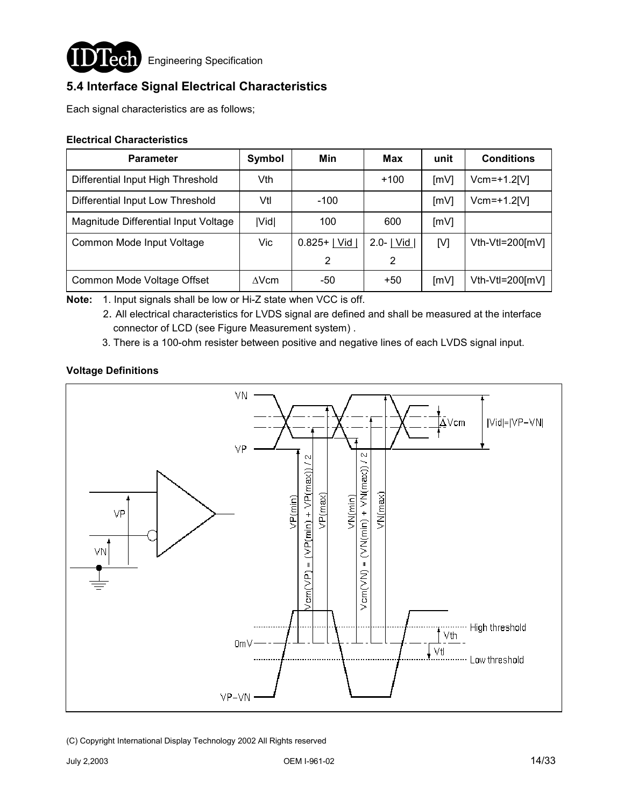

**Lech** Engineering Specification

## **5.4 Interface Signal Electrical Characteristics**

Each signal characteristics are as follows;

#### **Electrical Characteristics**

| <b>Parameter</b>                     | Symbol       | Min            | Max                 | unit | <b>Conditions</b>  |
|--------------------------------------|--------------|----------------|---------------------|------|--------------------|
| Differential Input High Threshold    | Vth          |                | $+100$              | [mV] | $Vcm=+1.2$ [V]     |
| Differential Input Low Threshold     | Vtl          | $-100$         |                     | [mV] | $Vcm = +1.2[V]$    |
| Magnitude Differential Input Voltage | Vid          | 100            | 600                 | [mV] |                    |
| Common Mode Input Voltage            | <b>Vic</b>   | $0.825+$   Vid | $2.0 - \lfloor$ Vid | [V]  | $Vth-Vtl=200$ [mV] |
|                                      |              | 2              | 2                   |      |                    |
| Common Mode Voltage Offset           | $\Delta$ Vcm | -50            | $+50$               | [mV] | Vth-Vtl=200[mV]    |

**Note:** 1. Input signals shall be low or Hi-Z state when VCC is off.

2. All electrical characteristics for LVDS signal are defined and shall be measured at the interface connector of LCD (see Figure Measurement system) .

3. There is a 100-ohm resister between positive and negative lines of each LVDS signal input.

### **Voltage Definitions**

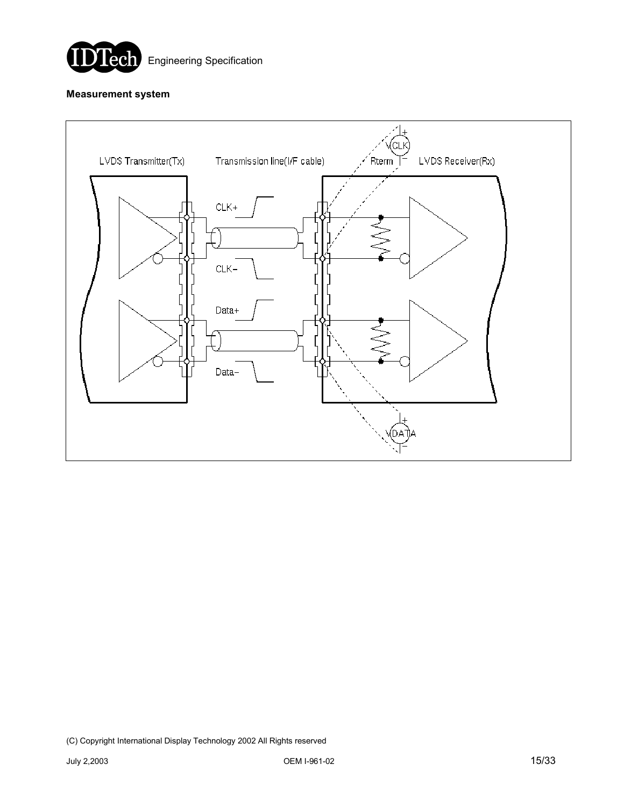

#### **Measurement system**

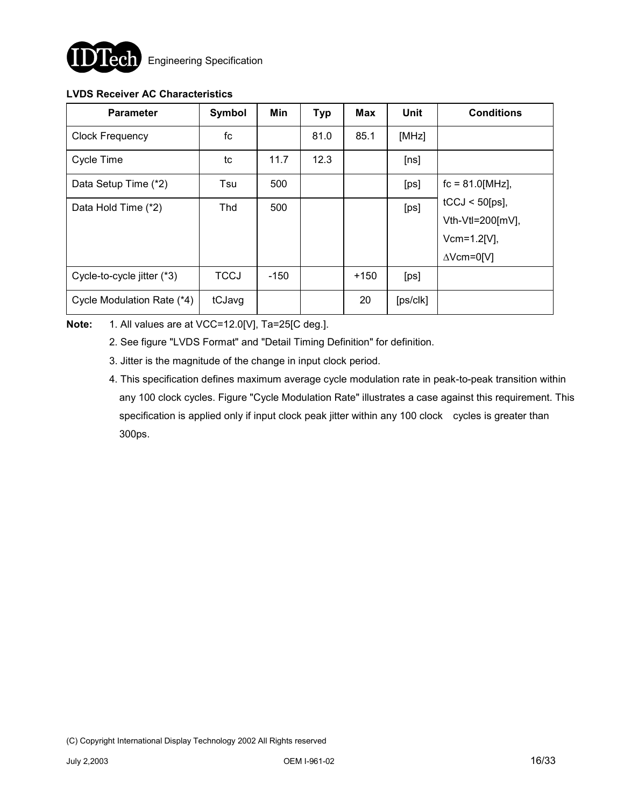

### **LVDS Receiver AC Characteristics**

| <b>Parameter</b>           | Symbol      | Min    | <b>Typ</b> | <b>Max</b> | Unit                 | <b>Conditions</b>    |
|----------------------------|-------------|--------|------------|------------|----------------------|----------------------|
| <b>Clock Frequency</b>     | fc          |        | 81.0       | 85.1       | [MHz]                |                      |
| Cycle Time                 | tc          | 11.7   | 12.3       |            | [ns]                 |                      |
| Data Setup Time (*2)       | Tsu         | 500    |            |            | [ps]                 | $fc = 81.0$ [MHz],   |
| Data Hold Time (*2)        | Thd         | 500    |            |            | [ps]                 | $tCCJ < 50$ [ps],    |
|                            |             |        |            |            |                      | Vth-Vtl=200 $[mV]$ , |
|                            |             |        |            |            |                      | $Vcm = 1.2[V],$      |
|                            |             |        |            |            |                      | $\triangle$ Vcm=0[V] |
| Cycle-to-cycle jitter (*3) | <b>TCCJ</b> | $-150$ |            | $+150$     | [p <sub>s</sub> ]    |                      |
| Cycle Modulation Rate (*4) | tCJavg      |        |            | 20         | [ps/c <sub>k</sub> ] |                      |

**Note:** 1. All values are at VCC=12.0[V], Ta=25[C deg.].

- 2. See figure "LVDS Format" and "Detail Timing Definition" for definition.
- 3. Jitter is the magnitude of the change in input clock period.
- 4. This specification defines maximum average cycle modulation rate in peak-to-peak transition within any 100 clock cycles. Figure "Cycle Modulation Rate" illustrates a case against this requirement. This specification is applied only if input clock peak jitter within any 100 clock cycles is greater than 300ps.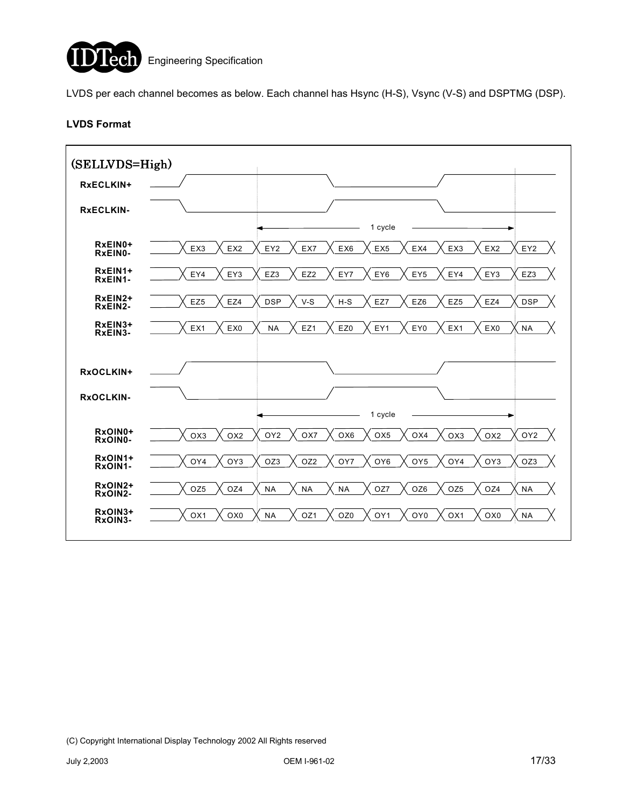

LVDS per each channel becomes as below. Each channel has Hsync (H-S), Vsync (V-S) and DSPTMG (DSP).

#### **LVDS Format**

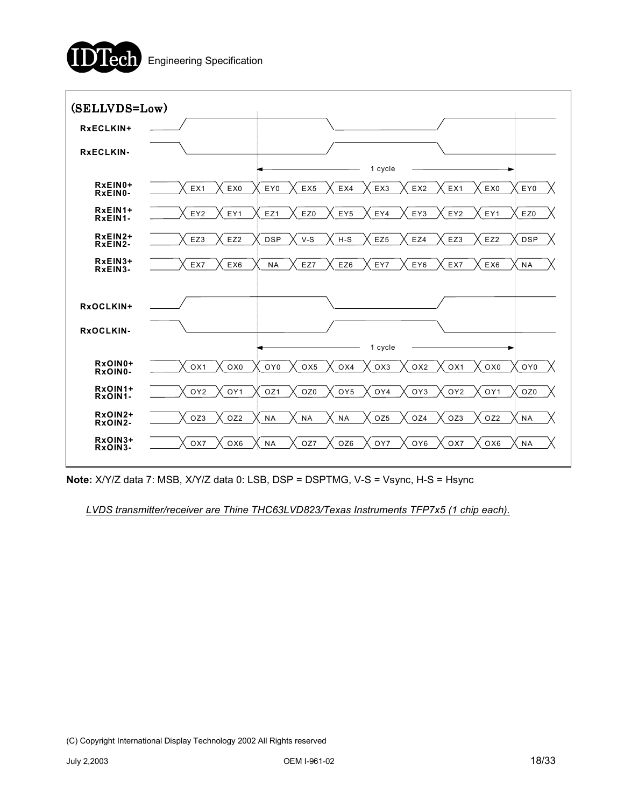



**Note:** X/Y/Z data 7: MSB, X/Y/Z data 0: LSB, DSP = DSPTMG, V-S = Vsync, H-S = Hsync

*LVDS transmitter/receiver are Thine THC63LVD823/Texas Instruments TFP7x5 (1 chip each).*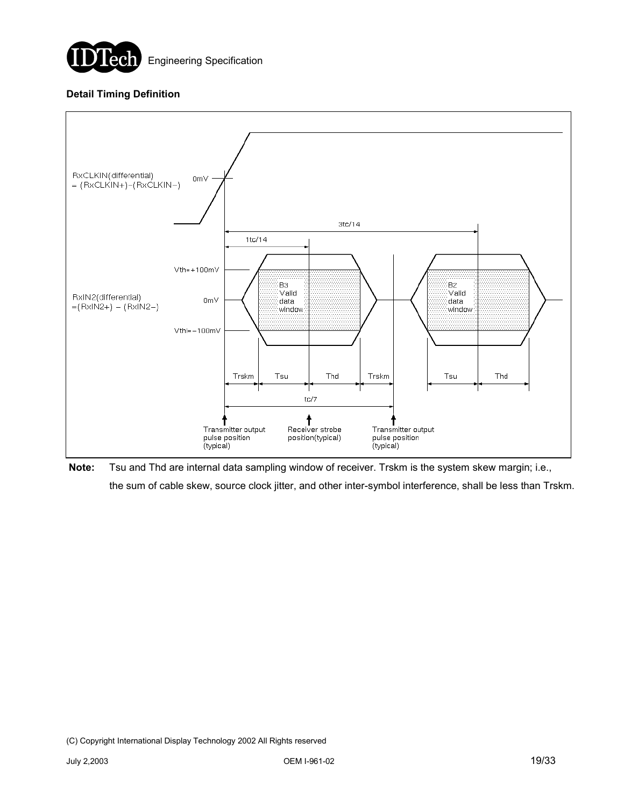

### **Detail Timing Definition**



**Note:** Tsu and Thd are internal data sampling window of receiver. Trskm is the system skew margin; i.e., the sum of cable skew, source clock jitter, and other inter-symbol interference, shall be less than Trskm.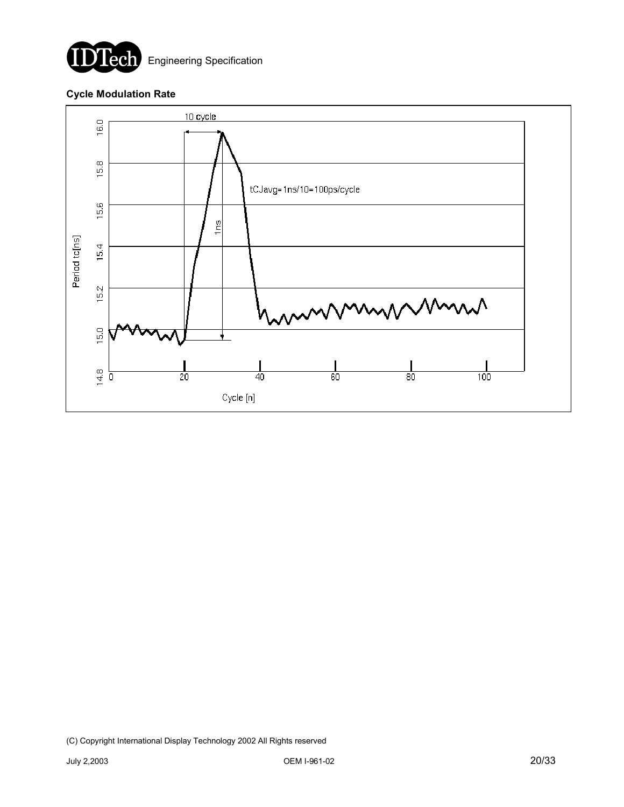

#### **Cycle Modulation Rate**

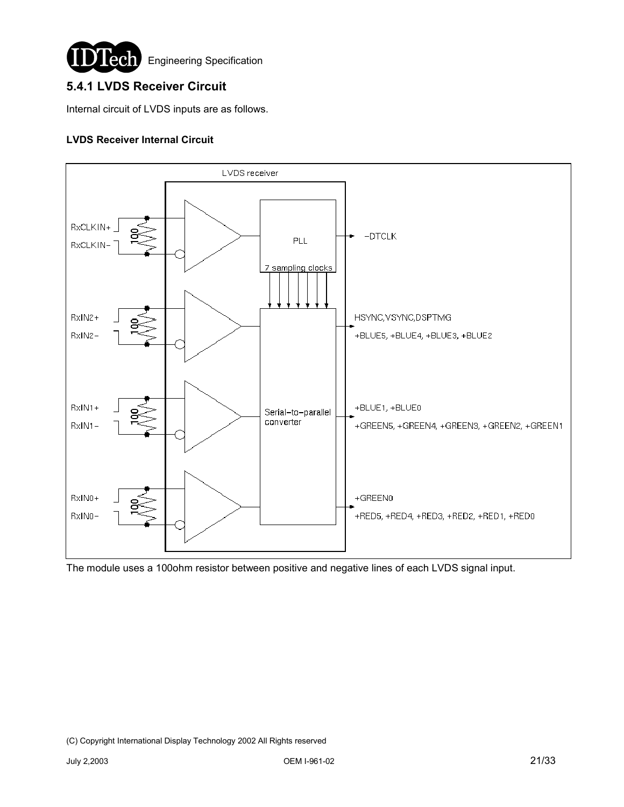

## **5.4.1 LVDS Receiver Circuit**

Internal circuit of LVDS inputs are as follows.

#### **LVDS Receiver Internal Circuit**



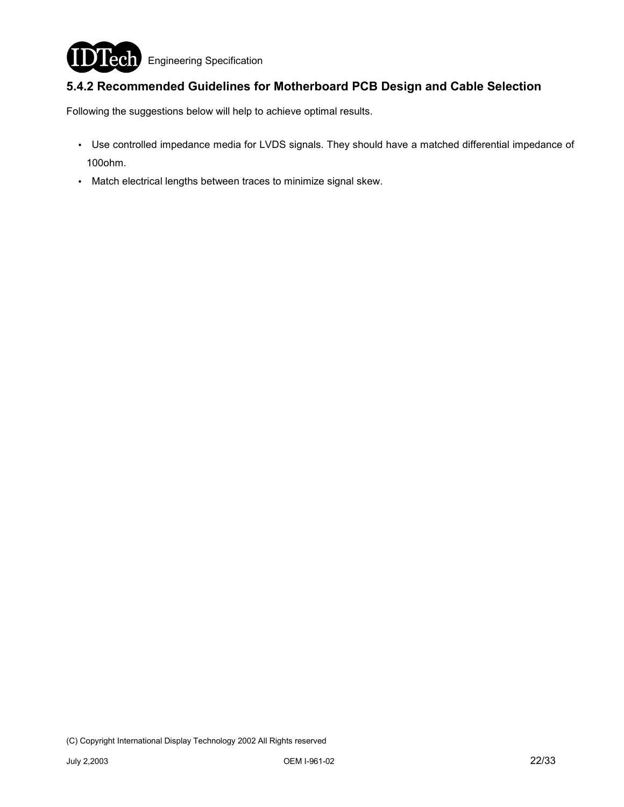

## **5.4.2 Recommended Guidelines for Motherboard PCB Design and Cable Selection**

Following the suggestions below will help to achieve optimal results.

- . Use controlled impedance media for LVDS signals. They should have a matched differential impedance of 100ohm.
- . Match electrical lengths between traces to minimize signal skew.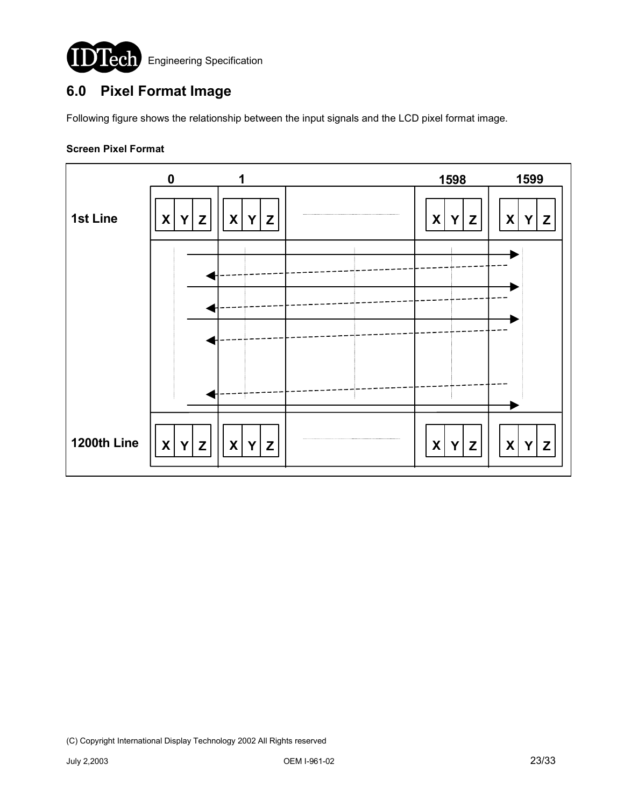

# **6.0 Pixel Format Image**

Following figure shows the relationship between the input signals and the LCD pixel format image.

#### **Screen Pixel Format**

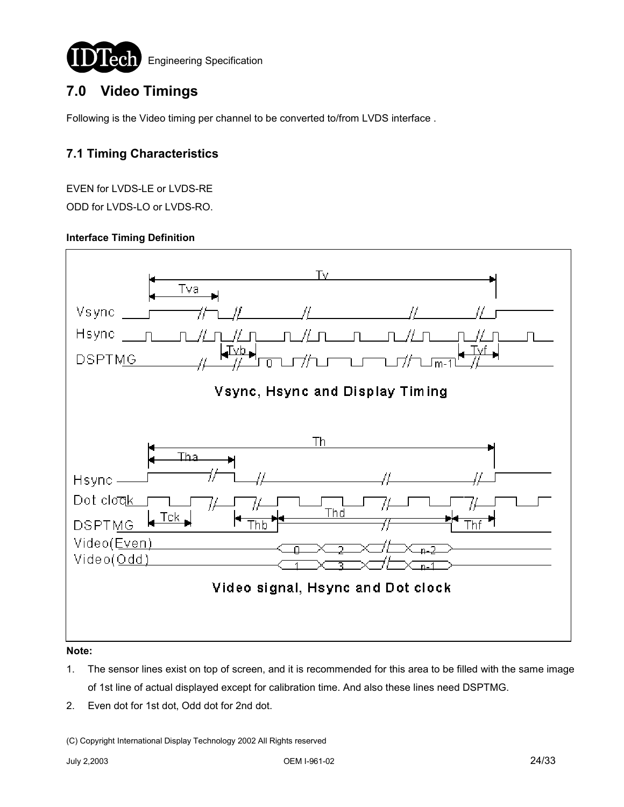

# **7.0 Video Timings**

Following is the Video timing per channel to be converted to/from LVDS interface .

## **7.1 Timing Characteristics**

EVEN for LVDS-LE or LVDS-RE ODD for LVDS-LO or LVDS-RO.

#### **Interface Timing Definition**



- 1. The sensor lines exist on top of screen, and it is recommended for this area to be filled with the same image of 1st line of actual displayed except for calibration time. And also these lines need DSPTMG.
- 2. Even dot for 1st dot, Odd dot for 2nd dot.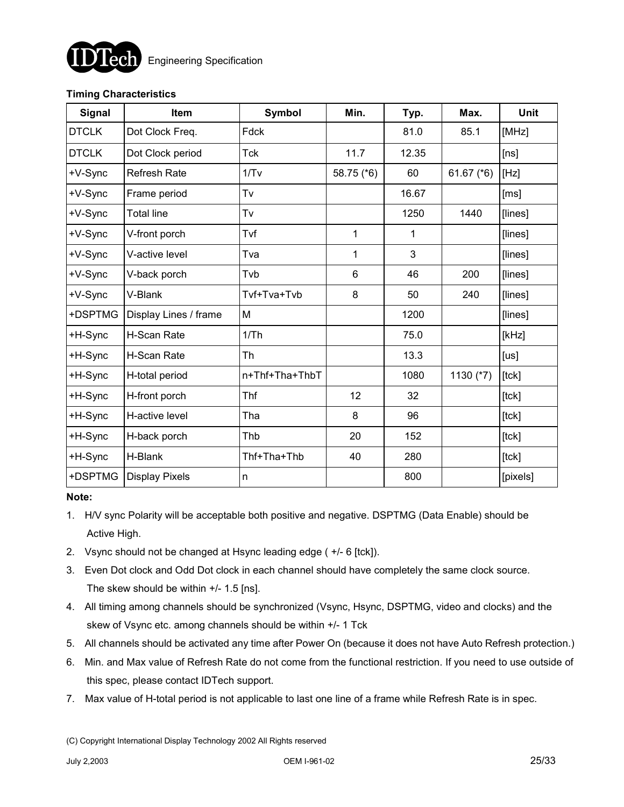

### **Timing Characteristics**

| <b>Signal</b> | Item                  | <b>Symbol</b>  | Min.       | Typ.  | Max.         | Unit     |
|---------------|-----------------------|----------------|------------|-------|--------------|----------|
| <b>DTCLK</b>  | Dot Clock Freq.       | Fdck           |            | 81.0  | 85.1         | [MHz]    |
| <b>DTCLK</b>  | Dot Clock period      | <b>Tck</b>     | 11.7       | 12.35 |              | [ns]     |
| +V-Sync       | <b>Refresh Rate</b>   | 1/Tv           | 58.75 (*6) | 60    | 61.67 $(*6)$ | [Hz]     |
| +V-Sync       | Frame period          | Tv             |            | 16.67 |              | [ms]     |
| +V-Sync       | <b>Total line</b>     | Tv             |            | 1250  | 1440         | [lines]  |
| +V-Sync       | V-front porch         | Tvf            | 1          | 1     |              | [lines]  |
| +V-Sync       | V-active level        | Tva            | 1          | 3     |              | [lines]  |
| +V-Sync       | V-back porch          | Tvb            | 6          | 46    | 200          | [lines]  |
| +V-Sync       | V-Blank               | Tvf+Tva+Tvb    | 8          | 50    | 240          | [lines]  |
| +DSPTMG       | Display Lines / frame | M              |            | 1200  |              | [lines]  |
| +H-Sync       | H-Scan Rate           | 1/Th           |            | 75.0  |              | [kHz]    |
| +H-Sync       | H-Scan Rate           | Th             |            | 13.3  |              | [us]     |
| +H-Sync       | H-total period        | n+Thf+Tha+ThbT |            | 1080  | 1130 (*7)    | [tck]    |
| +H-Sync       | H-front porch         | Thf            | 12         | 32    |              | [lck]    |
| +H-Sync       | H-active level        | Tha            | 8          | 96    |              | [tck]    |
| +H-Sync       | H-back porch          | Thb            | 20         | 152   |              | [tck]    |
| +H-Sync       | H-Blank               | Thf+Tha+Thb    | 40         | 280   |              | [tck]    |
| +DSPTMG       | <b>Display Pixels</b> | n              |            | 800   |              | [pixels] |

#### **Note:**

- 1. H/V sync Polarity will be acceptable both positive and negative. DSPTMG (Data Enable) should be Active High.
- 2. Vsync should not be changed at Hsync leading edge ( +/- 6 [tck]).
- 3. Even Dot clock and Odd Dot clock in each channel should have completely the same clock source. The skew should be within +/- 1.5 [ns].
- 4. All timing among channels should be synchronized (Vsync, Hsync, DSPTMG, video and clocks) and the skew of Vsync etc. among channels should be within +/- 1 Tck
- 5. All channels should be activated any time after Power On (because it does not have Auto Refresh protection.)
- 6. Min. and Max value of Refresh Rate do not come from the functional restriction. If you need to use outside of this spec, please contact IDTech support.
- 7. Max value of H-total period is not applicable to last one line of a frame while Refresh Rate is in spec.

<sup>(</sup>C) Copyright International Display Technology 2002 All Rights reserved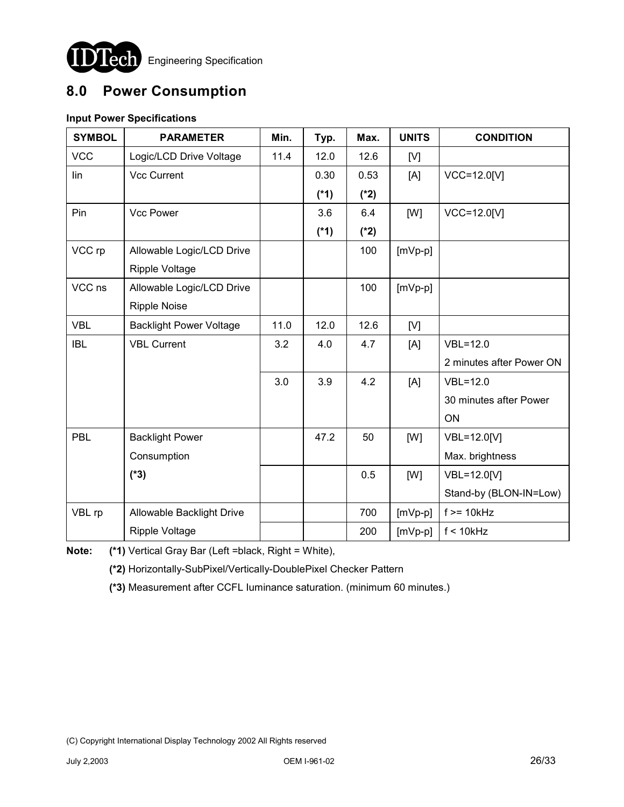

# **8.0 Power Consumption**

## **Input Power Specifications**

| <b>SYMBOL</b> | <b>PARAMETER</b>               | Min. | Typ.   | Max.   | <b>UNITS</b> | <b>CONDITION</b>         |
|---------------|--------------------------------|------|--------|--------|--------------|--------------------------|
| <b>VCC</b>    | Logic/LCD Drive Voltage        | 11.4 | 12.0   | 12.6   | [V]          |                          |
| lin           | <b>Vcc Current</b>             |      | 0.30   | 0.53   | [A]          | VCC=12.0[V]              |
|               |                                |      | $(*1)$ | $(*2)$ |              |                          |
| Pin           | <b>Vcc Power</b>               |      | 3.6    | 6.4    | [W]          | VCC=12.0[V]              |
|               |                                |      | $(*1)$ | $(*2)$ |              |                          |
| VCC rp        | Allowable Logic/LCD Drive      |      |        | 100    | $[mVp-p]$    |                          |
|               | <b>Ripple Voltage</b>          |      |        |        |              |                          |
| VCC ns        | Allowable Logic/LCD Drive      |      |        | 100    | $[mVp-p]$    |                          |
|               | <b>Ripple Noise</b>            |      |        |        |              |                          |
| <b>VBL</b>    | <b>Backlight Power Voltage</b> | 11.0 | 12.0   | 12.6   | [V]          |                          |
| <b>IBL</b>    | <b>VBL Current</b>             | 3.2  | 4.0    | 4.7    | [A]          | $VBL = 12.0$             |
|               |                                |      |        |        |              | 2 minutes after Power ON |
|               |                                | 3.0  | 3.9    | 4.2    | [A]          | $VBL = 12.0$             |
|               |                                |      |        |        |              | 30 minutes after Power   |
|               |                                |      |        |        |              | ON                       |
| PBL           | <b>Backlight Power</b>         |      | 47.2   | 50     | [W]          | VBL=12.0[V]              |
|               | Consumption                    |      |        |        |              | Max. brightness          |
|               | $(*3)$                         |      |        | 0.5    | [W]          | VBL=12.0[V]              |
|               |                                |      |        |        |              | Stand-by (BLON-IN=Low)   |
| VBL rp        | Allowable Backlight Drive      |      |        | 700    | $[mVp-p]$    | $f \geq 10k$ Hz          |
|               | <b>Ripple Voltage</b>          |      |        | 200    | $[mVp-p]$    | $f < 10$ kHz             |

**Note: (\*1)** Vertical Gray Bar (Left =black, Right = White),

**(\*2)** Horizontally-SubPixel/Vertically-DoublePixel Checker Pattern

**(\*3)** Measurement after CCFL Iuminance saturation. (minimum 60 minutes.)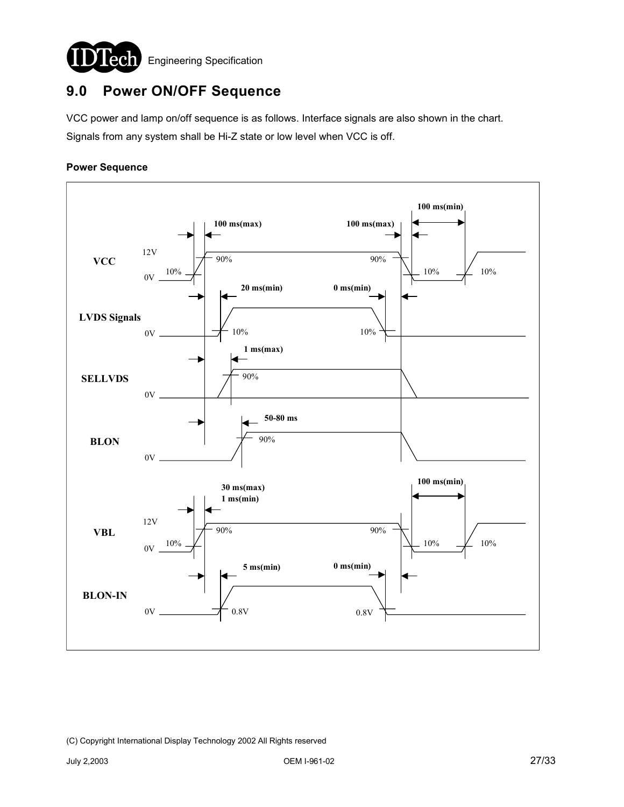

# **9.0 Power ON/OFF Sequence**

VCC power and lamp on/off sequence is as follows. Interface signals are also shown in the chart. Signals from any system shall be Hi-Z state or low level when VCC is off.

#### **Power Sequence**

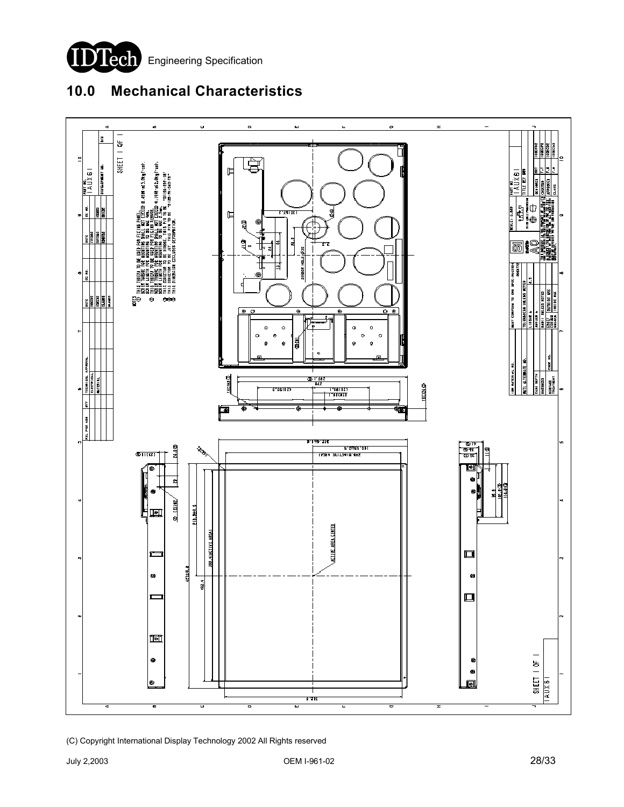

# **10.0 Mechanical Characteristics**

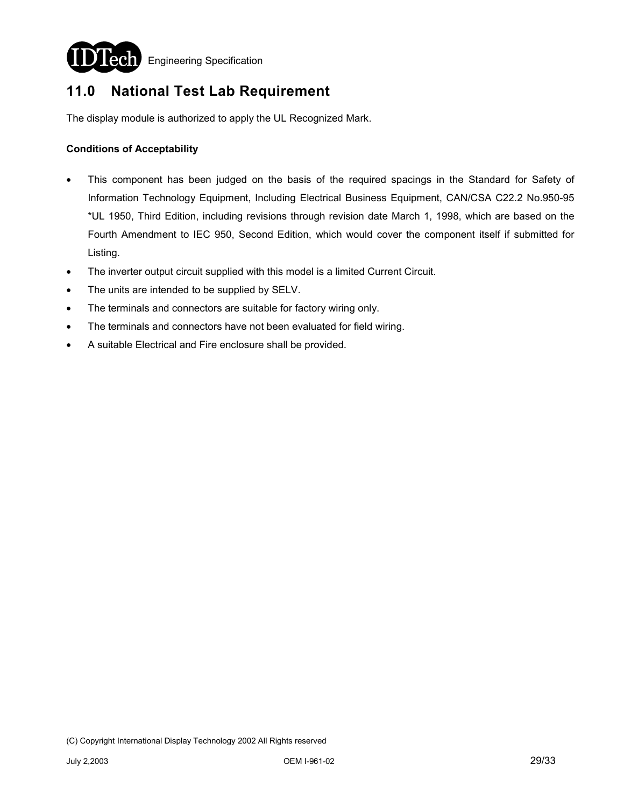

**Lech** Engineering Specification

# **11.0 National Test Lab Requirement**

The display module is authorized to apply the UL Recognized Mark.

#### **Conditions of Acceptability**

- This component has been judged on the basis of the required spacings in the Standard for Safety of Information Technology Equipment, Including Electrical Business Equipment, CAN/CSA C22.2 No.950-95 \*UL 1950, Third Edition, including revisions through revision date March 1, 1998, which are based on the Fourth Amendment to IEC 950, Second Edition, which would cover the component itself if submitted for Listing.
- The inverter output circuit supplied with this model is a limited Current Circuit.
- The units are intended to be supplied by SELV.
- The terminals and connectors are suitable for factory wiring only.
- The terminals and connectors have not been evaluated for field wiring.
- A suitable Electrical and Fire enclosure shall be provided.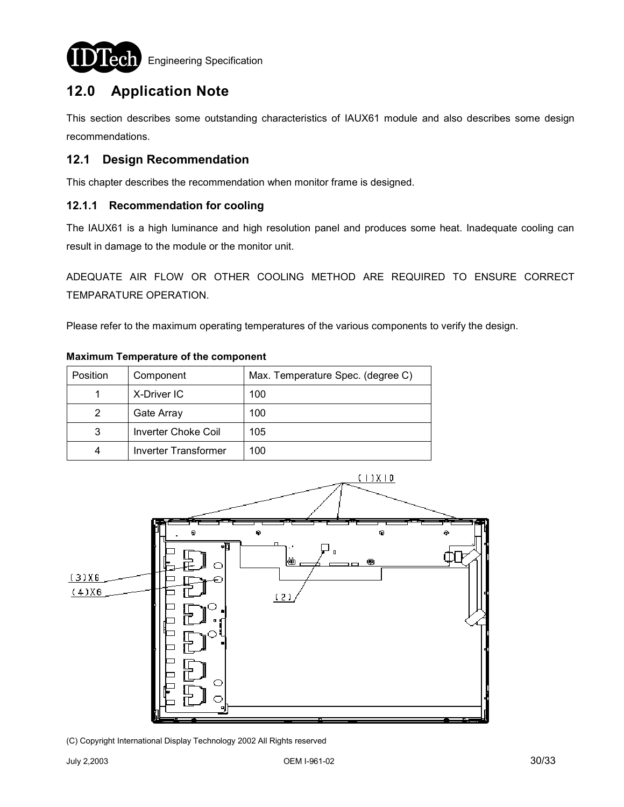

**ech** Engineering Specification

# **12.0 Application Note**

This section describes some outstanding characteristics of IAUX61 module and also describes some design recommendations.

## **12.1 Design Recommendation**

This chapter describes the recommendation when monitor frame is designed.

#### **12.1.1 Recommendation for cooling**

The IAUX61 is a high luminance and high resolution panel and produces some heat. Inadequate cooling can result in damage to the module or the monitor unit.

ADEQUATE AIR FLOW OR OTHER COOLING METHOD ARE REQUIRED TO ENSURE CORRECT TEMPARATURE OPERATION.

Please refer to the maximum operating temperatures of the various components to verify the design.

| Position | Component                   | Max. Temperature Spec. (degree C) |
|----------|-----------------------------|-----------------------------------|
|          | X-Driver IC                 | 100                               |
| 2        | Gate Array                  | 100                               |
| 3        | <b>Inverter Choke Coil</b>  | 105                               |
| 4        | <b>Inverter Transformer</b> | 100                               |

#### **Maximum Temperature of the component**

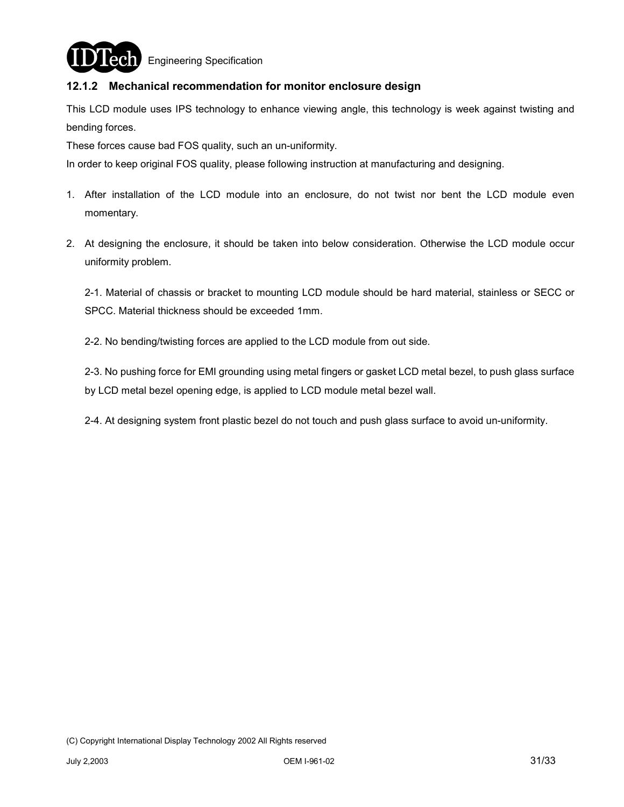

**ech** Engineering Specification

### **12.1.2 Mechanical recommendation for monitor enclosure design**

This LCD module uses IPS technology to enhance viewing angle, this technology is week against twisting and bending forces.

These forces cause bad FOS quality, such an un-uniformity.

In order to keep original FOS quality, please following instruction at manufacturing and designing.

- 1. After installation of the LCD module into an enclosure, do not twist nor bent the LCD module even momentary.
- 2. At designing the enclosure, it should be taken into below consideration. Otherwise the LCD module occur uniformity problem.

2-1. Material of chassis or bracket to mounting LCD module should be hard material, stainless or SECC or SPCC. Material thickness should be exceeded 1mm.

2-2. No bending/twisting forces are applied to the LCD module from out side.

2-3. No pushing force for EMI grounding using metal fingers or gasket LCD metal bezel, to push glass surface by LCD metal bezel opening edge, is applied to LCD module metal bezel wall.

2-4. At designing system front plastic bezel do not touch and push glass surface to avoid un-uniformity.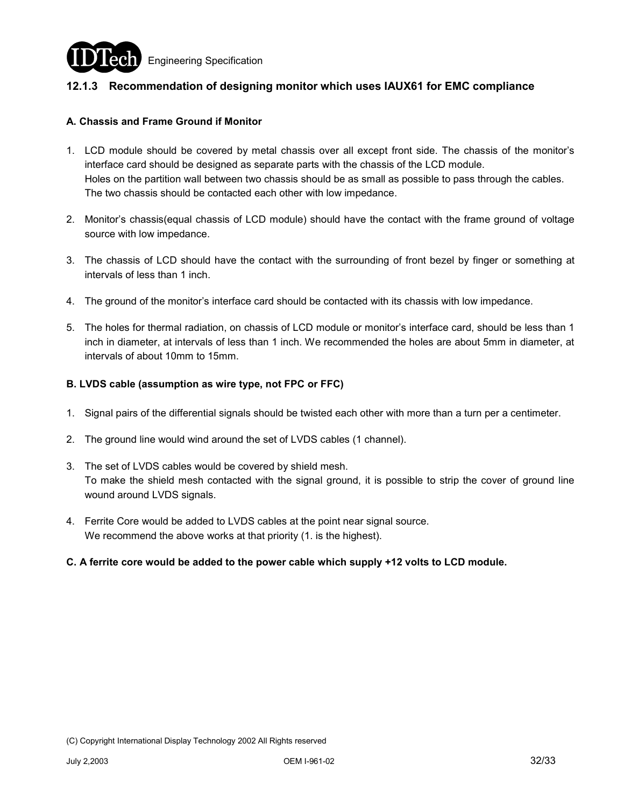

### **12.1.3 Recommendation of designing monitor which uses IAUX61 for EMC compliance**

#### **A. Chassis and Frame Ground if Monitor**

- 1. LCD module should be covered by metal chassis over all except front side. The chassis of the monitor's interface card should be designed as separate parts with the chassis of the LCD module. Holes on the partition wall between two chassis should be as small as possible to pass through the cables. The two chassis should be contacted each other with low impedance.
- 2. Monitor's chassis(equal chassis of LCD module) should have the contact with the frame ground of voltage source with low impedance.
- 3. The chassis of LCD should have the contact with the surrounding of front bezel by finger or something at intervals of less than 1 inch.
- 4. The ground of the monitor's interface card should be contacted with its chassis with low impedance.
- 5. The holes for thermal radiation, on chassis of LCD module or monitor's interface card, should be less than 1 inch in diameter, at intervals of less than 1 inch. We recommended the holes are about 5mm in diameter, at intervals of about 10mm to 15mm.

#### **B. LVDS cable (assumption as wire type, not FPC or FFC)**

- 1. Signal pairs of the differential signals should be twisted each other with more than a turn per a centimeter.
- 2. The ground line would wind around the set of LVDS cables (1 channel).
- 3. The set of LVDS cables would be covered by shield mesh. To make the shield mesh contacted with the signal ground, it is possible to strip the cover of ground line wound around LVDS signals.
- 4. Ferrite Core would be added to LVDS cables at the point near signal source. We recommend the above works at that priority (1. is the highest).
- **C. A ferrite core would be added to the power cable which supply +12 volts to LCD module.**